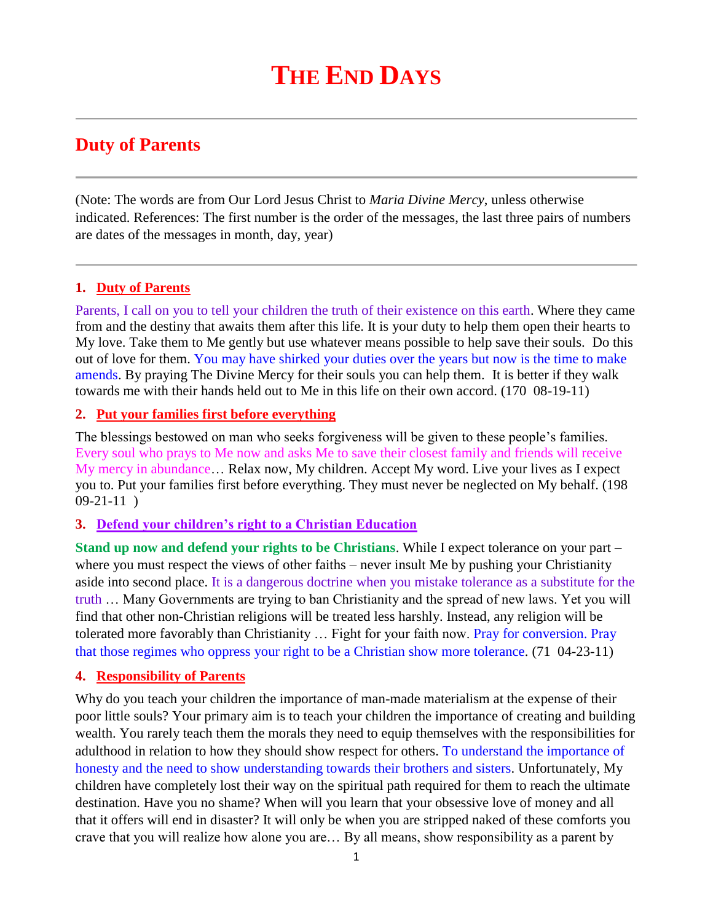# **Duty of Parents**

(Note: The words are from Our Lord Jesus Christ to *Maria Divine Mercy*, unless otherwise indicated. References: The first number is the order of the messages, the last three pairs of numbers are dates of the messages in month, day, year)

# **1. Duty of Parents**

Parents, I call on you to tell your children the truth of their existence on this earth. Where they came from and the destiny that awaits them after this life. It is your duty to help them open their hearts to My love. Take them to Me gently but use whatever means possible to help save their souls. Do this out of love for them. You may have shirked your duties over the years but now is the time to make amends. By praying The Divine Mercy for their souls you can help them. It is better if they walk towards me with their hands held out to Me in this life on their own accord. (170 08-19-11)

### **2. Put your families first before everything**

The blessings bestowed on man who seeks forgiveness will be given to these people's families. Every soul who prays to Me now and asks Me to save their closest family and friends will receive My mercy in abundance… Relax now, My children. Accept My word. Live your lives as I expect you to. Put your families first before everything. They must never be neglected on My behalf. (198  $09-21-11$ 

### **3. Defend your children's right to a Christian Education**

**Stand up now and defend your rights to be Christians**. While I expect tolerance on your part – where you must respect the views of other faiths – never insult Me by pushing your Christianity aside into second place. It is a dangerous doctrine when you mistake tolerance as a substitute for the truth … Many Governments are trying to ban Christianity and the spread of new laws. Yet you will find that other non-Christian religions will be treated less harshly. Instead, any religion will be tolerated more favorably than Christianity … Fight for your faith now. Pray for conversion. Pray that those regimes who oppress your right to be a Christian show more tolerance. (71 04-23-11)

# **4. Responsibility of Parents**

Why do you teach your children the importance of man-made materialism at the expense of their poor little souls? Your primary aim is to teach your children the importance of creating and building wealth. You rarely teach them the morals they need to equip themselves with the responsibilities for adulthood in relation to how they should show respect for others. To understand the importance of honesty and the need to show understanding towards their brothers and sisters. Unfortunately, My children have completely lost their way on the spiritual path required for them to reach the ultimate destination. Have you no shame? When will you learn that your obsessive love of money and all that it offers will end in disaster? It will only be when you are stripped naked of these comforts you crave that you will realize how alone you are… By all means, show responsibility as a parent by